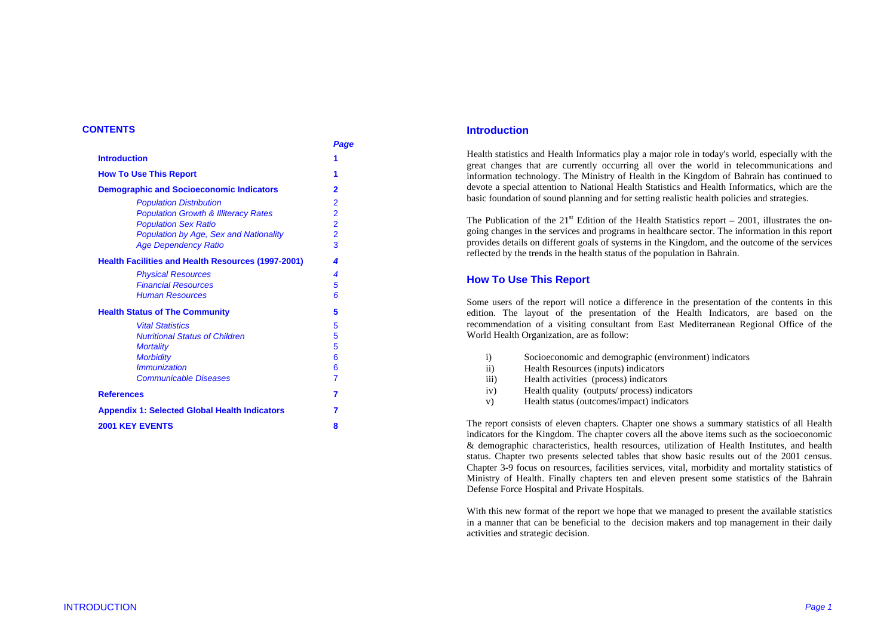## **CONTENTS**

|                                                           | Page           |
|-----------------------------------------------------------|----------------|
| <b>Introduction</b>                                       | 1              |
| <b>How To Use This Report</b>                             | 1              |
| <b>Demographic and Socioeconomic Indicators</b>           | 2              |
| <b>Population Distribution</b>                            | $\overline{2}$ |
| <b>Population Growth &amp; Illiteracy Rates</b>           | $\overline{2}$ |
| <b>Population Sex Ratio</b>                               | $\overline{2}$ |
| <b>Population by Age, Sex and Nationality</b>             | $\overline{2}$ |
| <b>Age Dependency Ratio</b>                               | $\overline{3}$ |
| <b>Health Facilities and Health Resources (1997-2001)</b> | 4              |
| <b>Physical Resources</b>                                 | 4              |
| <b>Financial Resources</b>                                | 5              |
| <b>Human Resources</b>                                    | 6              |
| <b>Health Status of The Community</b>                     | 5              |
| <b>Vital Statistics</b>                                   | 5              |
| <b>Nutritional Status of Children</b>                     | 5              |
| <b>Mortality</b>                                          | 5              |
| <b>Morbidity</b>                                          | 6              |
| <i><b>Immunization</b></i>                                | 6              |
| Communicable Diseases                                     | 7              |
| <b>References</b>                                         | 7              |
| <b>Appendix 1: Selected Global Health Indicators</b>      | 7              |
| <b>2001 KEY EVENTS</b>                                    | 8              |
|                                                           |                |

## **Introduction**

Health statistics and Health Informatics play a major role in today's world, especially with the great changes that are currently occurring all over the world in telecommunications and information technology. The Ministry of Health in the Kingdom of Bahrain has continued to devote a special attention to National Health Statistics and Health Informatics, which are the basic foundation of sound planning and for setting realistic health policies and strategies.

The Publication of the  $21<sup>st</sup>$  Edition of the Health Statistics report – 2001, illustrates the ongoing changes in the services and programs in healthcare sector. The information in this report provides details on different goals of systems in the Kingdom, and the outcome of the services reflected by the trends in the health status of the population in Bahrain.

## **How To Use This Report**

Some users of the report will notice a difference in the presentation of the contents in this edition. The layout of the presentation of the Health Indicators, are based on the recommendation of a visiting consultant from East Mediterranean Regional Office of the World Health Organization, are as follow:

- i) Socioeconomic and demographic (environment) indicators
- ii) Health Resources (inputs) indicators
- iii) Health activities (process) indicators
- iv) Health quality (outputs/ process) indicators
- v) Health status (outcomes/impact) indicators

The report consists of eleven chapters. Chapter one shows a summary statistics of all Health indicators for the Kingdom. The chapter covers all the above items such as the socioeconomic & demographic characteristics, health resources, utilization of Health Institutes, and health status. Chapter two presents selected tables that show basic results out of the 2001 census. Chapter 3-9 focus on resources, facilities services, vital, morbidity and mortality statistics of Ministry of Health. Finally chapters ten and eleven present some statistics of the Bahrain Defense Force Hospital and Private Hospitals.

With this new format of the report we hope that we managed to present the available statistics in a manner that can be beneficial to the decision makers and top management in their daily activities and strategic decision.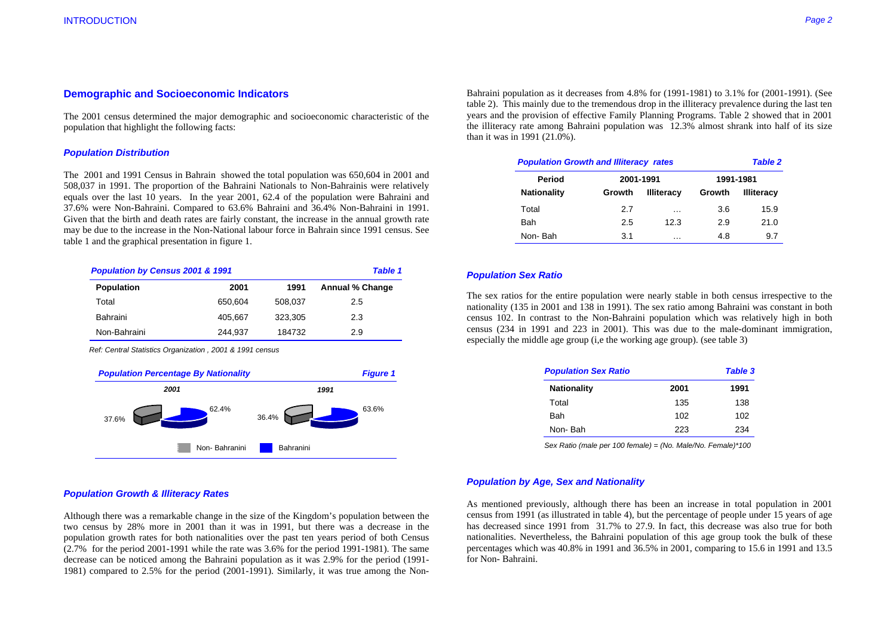## **Demographic and Socioeconomic Indicators**

The 2001 census determined the major demographic and socioeconomic characteristic of the population that highlight the following facts:

#### *Population Distribution*

The 2001 and 1991 Census in Bahrain showed the total population was 650,604 in 2001 and 508,037 in 1991. The proportion of the Bahraini Nationals to Non-Bahrainis were relatively equals over the last 10 years. In the year 2001, 62.4 of the population were Bahraini and 37.6% were Non-Bahraini. Compared to 63.6% Bahraini and 36.4% Non-Bahraini in 1991. Given that the birth and death rates are fairly constant, the increase in the annual growth rate may be due to the increase in the Non-National labour force in Bahrain since 1991 census. See table 1 and the graphical presentation in figure 1.

| Population by Census 2001 & 1991 | <b>Table 1</b> |         |                        |
|----------------------------------|----------------|---------|------------------------|
| <b>Population</b>                | 2001           | 1991    | <b>Annual % Change</b> |
| Total                            | 650.604        | 508.037 | 2.5                    |
| Bahraini                         | 405,667        | 323,305 | 2.3                    |
| Non-Bahraini                     | 244,937        | 184732  | 2.9                    |

*Ref: Central Statistics Organization , 2001 & 1991 census* 



## *Population Growth & Illiteracy Rates*

Although there was a remarkable change in the size of the Kingdom's population between the two census by 28% more in 2001 than it was in 1991, but there was a decrease in the population growth rates for both nationalities over the past ten years period of both Census (2.7% for the period 2001-1991 while the rate was 3.6% for the period 1991-1981). The same decrease can be noticed among the Bahraini population as it was 2.9% for the period (1991- 1981) compared to 2.5% for the period (2001-1991). Similarly, it was true among the NonBahraini population as it decreases from 4.8% for (1991-1981) to 3.1% for (2001-1991). (See table 2). This mainly due to the tremendous drop in the illiteracy prevalence during the last ten years and the provision of effec

| <b>Population Growth and Illiteracy rates</b><br><b>Table 2</b> |        |                   |        |                   |  |  |
|-----------------------------------------------------------------|--------|-------------------|--------|-------------------|--|--|
| Period                                                          |        | 2001-1991         |        | 1991-1981         |  |  |
| <b>Nationality</b>                                              | Growth | <b>Illiteracy</b> | Growth | <b>Illiteracy</b> |  |  |
| Total                                                           | 2.7    | $\cdots$          | 3.6    | 15.9              |  |  |
| <b>Bah</b>                                                      | 2.5    | 12.3              | 2.9    | 21.0              |  |  |
| Non-Bah                                                         | 3.1    | .                 | 4.8    | 9.7               |  |  |

#### *Population Sex Ratio*

The sex ratios for the entire population were nearly stable in both census irrespective to the nationality (135 in 2001 and 138 in 1991). The sex ratio among Bahraini was constant in both census 102. In contrast to the Non

| <b>Population Sex Ratio</b> |      | Table 3 |  |  |
|-----------------------------|------|---------|--|--|
| <b>Nationality</b>          | 2001 | 1991    |  |  |
| Total                       | 135  | 138     |  |  |
| Bah                         | 102  | 102     |  |  |
| Non-Bah                     | 223  | 234     |  |  |

*Sex Ratio (male per 100 female) = (No. Male/No. Female)\*100* 

#### *Population by Age, Sex and Nationality*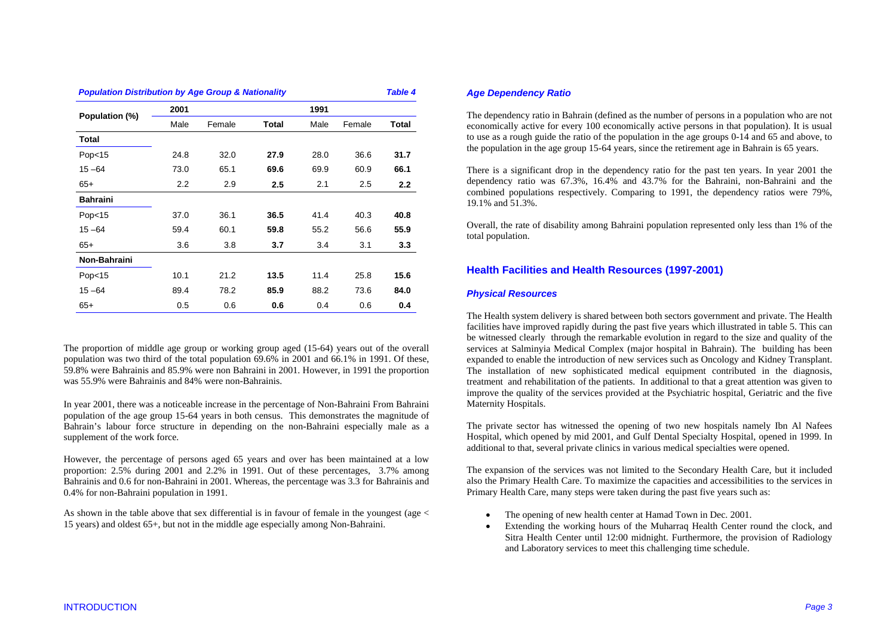| <b>Population Distribution by Age Group &amp; Nationality</b> |                  |        |       |      |        |       |
|---------------------------------------------------------------|------------------|--------|-------|------|--------|-------|
| Population (%)                                                | 2001             |        |       | 1991 |        |       |
|                                                               | Male             | Female | Total | Male | Female | Total |
| Total                                                         |                  |        |       |      |        |       |
| Pop <sub>15</sub>                                             | 24.8             | 32.0   | 27.9  | 28.0 | 36.6   | 31.7  |
| $15 - 64$                                                     | 73.0             | 65.1   | 69.6  | 69.9 | 60.9   | 66.1  |
| $65+$                                                         | $2.2\phantom{0}$ | 2.9    | 2.5   | 2.1  | 2.5    | 2.2   |
| <b>Bahraini</b>                                               |                  |        |       |      |        |       |
| Pop <sub>15</sub>                                             | 37.0             | 36.1   | 36.5  | 41.4 | 40.3   | 40.8  |
| $15 - 64$                                                     | 59.4             | 60.1   | 59.8  | 55.2 | 56.6   | 55.9  |
| $65+$                                                         | 3.6              | 3.8    | 3.7   | 3.4  | 3.1    | 3.3   |
| Non-Bahraini                                                  |                  |        |       |      |        |       |
| Pop <sub>15</sub>                                             | 10.1             | 21.2   | 13.5  | 11.4 | 25.8   | 15.6  |
| $15 - 64$                                                     | 89.4             | 78.2   | 85.9  | 88.2 | 73.6   | 84.0  |
| $65+$                                                         | 0.5              | 0.6    | 0.6   | 0.4  | 0.6    | 0.4   |

The proportion of middle age group or working group aged (15-64) years out of the overall population was two third of the total population 69.6% in 2001 and 66.1% in 1991. Of these, 59.8% were Bahrainis and 85.9% were non Bahraini in 2001. However, in 1991 the proportion was 55.9% were Bahrainis and 84% were non-Bahrainis.

In year 2001, there was a noticeable increase in the percentage of Non-Bahraini From Bahraini population of the age group 15-64 years in both census. This demonstrates the magnitude of Bahrain's labour force structure in depending on the non-Bahraini especially male as a supplement of the work force.

However, the percentage of persons aged 65 years and over has been maintained at a low proportion: 2.5% during 2001 and 2.2% in 1991. Out of these percentages, 3.7% among Bahrainis and 0.6 for non-Bahraini in 2001. Whereas, the percentage was 3.3 for Bahrainis and 0.4% for non-Bahraini population in 1991.

As shown in the table above that sex differential is in favour of female in the youngest (age < 15 years) and oldest 65+, but not in the middle age especially among Non-Bahraini.

## *Age Dependency Ratio*

The dependency ratio in Bahrain (defined as the number of persons in a population who are not economically active for every 100 economically active persons in that population). It is usual to use as a rough guide the ratio of the population in the age groups 0-14 and 65 and above, to the population in the age group 15-64 years, since the retirement age in Bahrain is 65 years.

There is a significant drop in the dependency ratio for the past ten years. In year 2001 the dependency ratio was 67.3%, 16.4% and 43.7% for the Bahraini, non-Bahraini and the combined populations respectively. Comparing to 1991, the dependency ratios were 79%, 19.1% and 51.3%.

Overall, the rate of disability among Bahraini population represented only less than 1% of the total population.

# **Health Facilities and Health Resources (1997-2001)**

## *Physical Resources*

The Health system delivery is shared between both sectors government and private. The Health facilities have improved rapidly during the past five years which illustrated in table 5. This can be witnessed clearly through the remarkable evolution in regard to the size and quality of the services at Salminyia Medical Complex (major hospital in Bahrain). The building has been expanded to enable the introduction of new services such as Oncology and Kidney Transplant. The installation of new sophisticated medical equipment contributed in the diagnosis, treatment and rehabilitation of the patients. In additional to that a great attention was given to improve the quality of the services provided at the Psychiatric hospital, Geriatric and the five Maternity Hospitals.

The private sector has witnessed the opening of two new hospitals namely Ibn Al Nafees Hospital, which opened by mid 2001, and Gulf Dental Specialty Hospital, opened in 1999. In additional to that, several private clinics in various medical specialties were opened.

The expansion of the services was not limited to the Secondary Health Care, but it included also the Primary Health Care. To maximize the capacities and accessibilities to the services in Primary Health Care, many steps were taken during the past five years such as:

- The opening of new health center at Hamad Town in Dec. 2001.
- Extending the working hours of the Muharraq Health Center round the clock, and Sitra Health Center until 12:00 midnight. Furthermore, the provision of Radiology and Laboratory services to meet this challenging time schedule.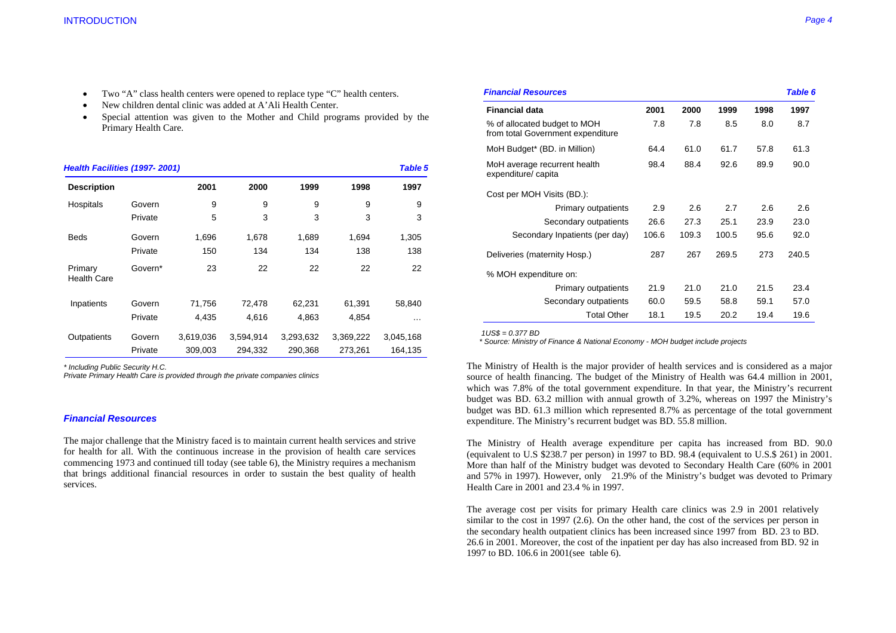- Two "A" class health centers were opened to replace type "C" health centers.
- New children dental clinic was added at A'Ali Health Center.
- Special attention was given to the Mother and Child programs provided by the Primary Health Care.

| Health Facilities (1997-2001) |         |           |           |           |           | Table 5   |
|-------------------------------|---------|-----------|-----------|-----------|-----------|-----------|
| <b>Description</b>            |         | 2001      | 2000      | 1999      | 1998      | 1997      |
| Hospitals                     | Govern  | 9         | 9         | 9         | 9         | 9         |
|                               | Private | 5         | 3         | 3         | 3         | 3         |
| <b>Beds</b>                   | Govern  | 1,696     | 1,678     | 1,689     | 1,694     | 1,305     |
|                               | Private | 150       | 134       | 134       | 138       | 138       |
| Primary<br><b>Health Care</b> | Govern* | 23        | 22        | 22        | 22        | 22        |
| Inpatients                    | Govern  | 71,756    | 72,478    | 62,231    | 61,391    | 58,840    |
|                               | Private | 4,435     | 4,616     | 4,863     | 4,854     | $\cdots$  |
| Outpatients                   | Govern  | 3,619,036 | 3,594,914 | 3,293,632 | 3,369,222 | 3,045,168 |
|                               | Private | 309,003   | 294,332   | 290,368   | 273,261   | 164,135   |

*\* Including Public Security H.C.* 

*Private Primary Health Care is provided through the private companies clinics* 

#### *Financial Resources*

The major challenge that the Ministry faced is to maintain current health services and strive for health for all. With the continuous increase in the provision of health care services commencing 1973 and continued till today (see table 6), the Ministry requires a mechanism that brings additional financial resources in order to sustain the best quality of health services.

| <b>Financial Resources</b>                                        |       |       |       |      | <b>Table 6</b> |
|-------------------------------------------------------------------|-------|-------|-------|------|----------------|
| <b>Financial data</b>                                             | 2001  | 2000  | 1999  | 1998 | 1997           |
| % of allocated budget to MOH<br>from total Government expenditure | 7.8   | 7.8   | 8.5   | 8.0  | 8.7            |
| MoH Budget* (BD. in Million)                                      | 64.4  | 61.0  | 61.7  | 57.8 | 61.3           |
| MoH average recurrent health<br>expenditure/ capita               | 98.4  | 88.4  | 92.6  | 89.9 | 90.0           |
| Cost per MOH Visits (BD.):                                        |       |       |       |      |                |
| Primary outpatients                                               | 2.9   | 2.6   | 2.7   | 2.6  | 2.6            |
| Secondary outpatients                                             | 26.6  | 27.3  | 25.1  | 23.9 | 23.0           |
| Secondary Inpatients (per day)                                    | 106.6 | 109.3 | 100.5 | 95.6 | 92.0           |
| Deliveries (maternity Hosp.)                                      | 287   | 267   | 269.5 | 273  | 240.5          |
| % MOH expenditure on:                                             |       |       |       |      |                |
| Primary outpatients                                               | 21.9  | 21.0  | 21.0  | 21.5 | 23.4           |
| Secondary outpatients                                             | 60.0  | 59.5  | 58.8  | 59.1 | 57.0           |
| <b>Total Other</b>                                                | 18.1  | 19.5  | 20.2  | 19.4 | 19.6           |

 *1US\$ = 0.377 BD* 

 *\* Source: Ministry of Finance & National Economy - MOH budget include projects* 

The Ministry of Health is the major provider of health services and is considered as a major source of health financing. The budget of the Ministry of Health was 64.4 million in 2001, which was 7.8% of the total government expenditure. In that year, the Ministry's recurrent budget was BD. 63.2 million with annual growth of 3.2%, whereas on 1997 the Ministry's budget was BD. 61.3 million which represented 8.7% as percentage of the total government expenditure. The Ministry's recurrent budget was BD. 55.8 million.

The Ministry of Health average expenditure per capita has increased from BD. 90.0 (equivalent to U.S \$238.7 per person) in 1997 to BD. 98.4 (equivalent to U.S.\$ 261) in 2001. More than half of the Ministry budget was devoted to Secondary Health Care (60% in 2001 and 57% in 1997). However, only 21.9% of the Ministry's budget was devoted to Primary Health Care in 2001 and 23.4 % in 1997.

The average cost per visits for primary Health care clinics was 2.9 in 2001 relatively similar to the cost in 1997 (2.6). On the other hand, the cost of the services per person in the secondary health outpatient clinics has been increased since 1997 from BD. 23 to BD. 26.6 in 2001. Moreover, the cost of the inpatient per day has also increased from BD. 92 in 1997 to BD. 106.6 in 2001(see table 6).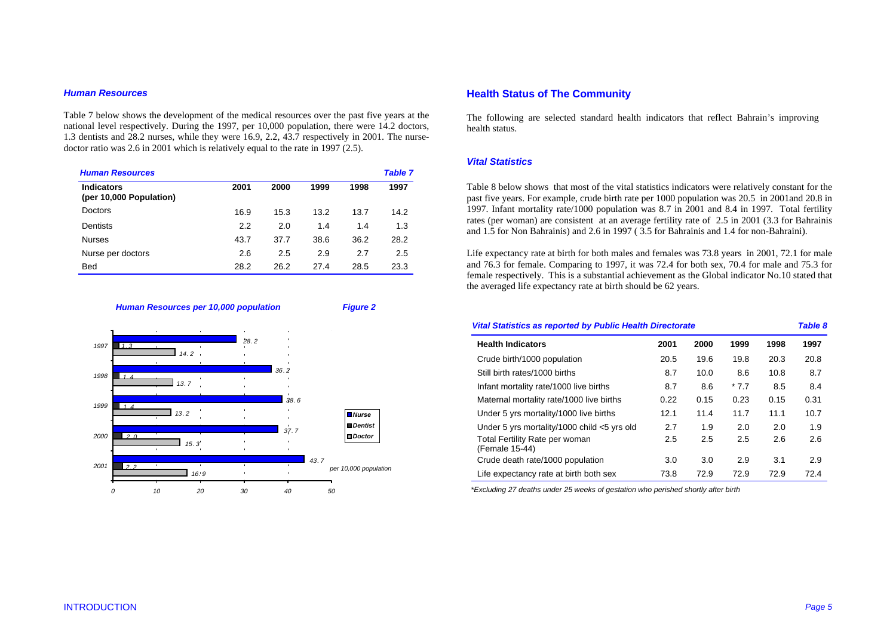#### *Human Resources*

Table 7 below shows the development of the medical resources over the past five years at the national level respectively. During the 1997, per 10,000 population, there were 14.2 doctors, 1.3 dentists and 28.2 nurses, while they were 16.9, 2.2, 43.7 respectively in 2001. The nursedoctor ratio was 2.6 in 2001 which is relatively equal to the rate in 1997 (2.5).

| <b>Human Resources</b>                       |      |      |      |      | <b>Table 7</b> |
|----------------------------------------------|------|------|------|------|----------------|
| <b>Indicators</b><br>(per 10,000 Population) | 2001 | 2000 | 1999 | 1998 | 1997           |
| Doctors                                      | 16.9 | 15.3 | 13.2 | 13.7 | 14.2           |
| Dentists                                     | 2.2  | 2.0  | 1.4  | 1.4  | 1.3            |
| <b>Nurses</b>                                | 43.7 | 37.7 | 38.6 | 36.2 | 28.2           |
| Nurse per doctors                            | 2.6  | 2.5  | 2.9  | 2.7  | 2.5            |
| <b>Bed</b>                                   | 28.2 | 26.2 | 27.4 | 28.5 | 23.3           |

*Human Resources per 10,000 population Figure 2* 



# **Health Status of The Community**

The following are selected standard health indicators that reflect Bahrain's improving health status.

## *Vital Statistics*

Table 8 below shows that most of the vital statistics indicators were relatively constant for the past five years. For example, crude birth rate per 1000 population was 20.5 in 2001and 20.8 in 1997. Infant mortality rate/1000 population was 8.7 in 2001 and 8.4 in 1997. Total fertility rates (per woman) are consistent at an average fertility rate of 2.5 in 2001 (3.3 for Bahrainis and 1.5 for Non Bahrainis) and 2.6 in 1997 ( 3.5 for Bahrainis and 1.4 for non-Bahraini).

Life expectancy rate at birth for both males and females was 73.8 years in 2001, 72.1 for male and 76.3 for female. Comparing to 1997, it was 72.4 for both sex, 70.4 for male and 75.3 for female respectively. This is a substantial achievement as the Global indicator No.10 stated that the averaged life expectancy rate at birth should be 62 years.

| <b>Vital Statistics as reported by Public Health Directorate</b> |      |      |        |      | Table 8 |
|------------------------------------------------------------------|------|------|--------|------|---------|
| <b>Health Indicators</b>                                         | 2001 | 2000 | 1999   | 1998 | 1997    |
| Crude birth/1000 population                                      | 20.5 | 19.6 | 19.8   | 20.3 | 20.8    |
| Still birth rates/1000 births                                    | 8.7  | 10.0 | 8.6    | 10.8 | 8.7     |
| Infant mortality rate/1000 live births                           | 8.7  | 8.6  | $*7.7$ | 8.5  | 8.4     |
| Maternal mortality rate/1000 live births                         | 0.22 | 0.15 | 0.23   | 0.15 | 0.31    |
| Under 5 yrs mortality/1000 live births                           | 12.1 | 11.4 | 11.7   | 11.1 | 10.7    |
| Under 5 yrs mortality/1000 child <5 yrs old                      | 2.7  | 1.9  | 2.0    | 2.0  | 1.9     |
| Total Fertility Rate per woman<br>(Female 15-44)                 | 2.5  | 2.5  | 2.5    | 2.6  | 2.6     |
| Crude death rate/1000 population                                 | 3.0  | 3.0  | 2.9    | 3.1  | 2.9     |
| Life expectancy rate at birth both sex                           | 73.8 | 72.9 | 72.9   | 72.9 | 72.4    |

 *\*Excluding 27 deaths under 25 weeks of gestation who perished shortly after birth*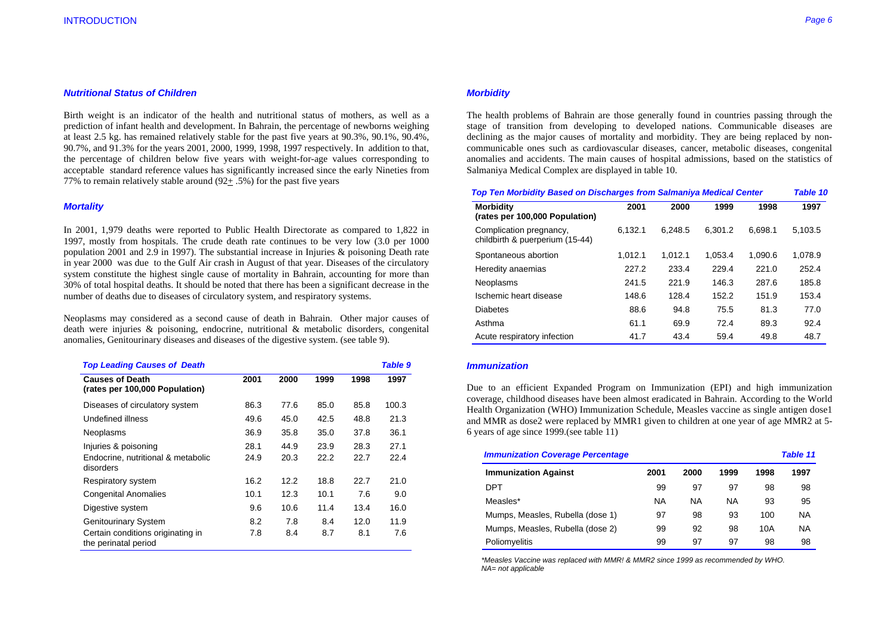#### *Nutritional Status of Children*

Birth weight is an indicator of the health and nutritional status of mothers, as well as a prediction of infant health and development. In Bahrain, the percentage of newborns weighing at least 2.5 kg. has remained relatively stable for the past five years at 90.3%, 90.1%, 90.4%, 90.7%, and 91.3% for the years 2001, 2000, 1999, 1998, 1997 respectively. In addition to that, the percentage of children below five years with weight-for-age values corresponding to acceptable standard reference values has significantly increased since the early Nineties from 77% to remain relatively stable around (92+ .5%) for the past five years

#### *Mortality*

In 2001, 1,979 deaths were reported to Public Health Directorate as compared to 1,822 in 1997, mostly from hospitals. The crude death rate continues to be very low (3.0 per 1000 population 2001 and 2.9 in 1997). The substantial increase in Injuries & poisoning Death rate in year 2000 was due to the Gulf Air crash in August of that year. Diseases of the circulatory system constitute the highest single cause of mortality in Bahrain, accounting for more than 30% of total hospital deaths. It should be noted that there has been a significant decrease in the number of deaths due to diseases of circulatory system, and respiratory systems.

Neoplasms may considered as a second cause of death in Bahrain. Other major causes of death were injuries & poisoning, endocrine, nutritional & metabolic disorders, congenital anomalies, Genitourinary diseases and diseases of the digestive system. (see table 9).

| <b>Top Leading Causes of Death</b>                        |      |      |      |      | <b>Table 9</b> |
|-----------------------------------------------------------|------|------|------|------|----------------|
| <b>Causes of Death</b><br>(rates per 100,000 Population)  | 2001 | 2000 | 1999 | 1998 | 1997           |
| Diseases of circulatory system                            | 86.3 | 77.6 | 85.0 | 85.8 | 100.3          |
| Undefined illness                                         | 49.6 | 45.0 | 42.5 | 48.8 | 21.3           |
| Neoplasms                                                 | 36.9 | 35.8 | 35.0 | 37.8 | 36.1           |
| Injuries & poisoning                                      | 28.1 | 44.9 | 23.9 | 28.3 | 27.1           |
| Endocrine, nutritional & metabolic<br>disorders           | 24.9 | 20.3 | 22.2 | 22.7 | 22.4           |
| Respiratory system                                        | 16.2 | 12.2 | 18.8 | 22.7 | 21.0           |
| <b>Congenital Anomalies</b>                               | 10.1 | 12.3 | 10.1 | 7.6  | 9.0            |
| Digestive system                                          | 9.6  | 10.6 | 11.4 | 13.4 | 16.0           |
| <b>Genitourinary System</b>                               | 8.2  | 7.8  | 8.4  | 12.0 | 11.9           |
| Certain conditions originating in<br>the perinatal period | 7.8  | 8.4  | 8.7  | 8.1  | 7.6            |

## *Morbidity*

The health problems of Bahrain are those generally found in countries passing through the stage of transition from developing to developed nations. Communicable diseases are declining as the major causes of mortality and morbidity. They are being replaced by noncommunicable ones such as cardiovascular diseases, cancer, metabolic diseases, congenital anomalies and accidents. The main causes of hospital admissions, based on the statistics of Salmaniya Medical Complex are displayed in table 10.

| <b>Top Ten Morbidity Based on Discharges from Salmaniya Medical Center</b> |         |         |         |         |         |  |
|----------------------------------------------------------------------------|---------|---------|---------|---------|---------|--|
| <b>Morbidity</b><br>(rates per 100,000 Population)                         | 2001    | 2000    | 1999    | 1998    | 1997    |  |
| Complication pregnancy,<br>childbirth & puerperium (15-44)                 | 6.132.1 | 6.248.5 | 6.301.2 | 6.698.1 | 5.103.5 |  |
| Spontaneous abortion                                                       | 1.012.1 | 1.012.1 | 1.053.4 | 1.090.6 | 1,078.9 |  |
| Heredity anaemias                                                          | 227.2   | 233.4   | 229.4   | 221.0   | 252.4   |  |
| <b>Neoplasms</b>                                                           | 241.5   | 221.9   | 146.3   | 287.6   | 185.8   |  |
| Ischemic heart disease                                                     | 148.6   | 128.4   | 152.2   | 151.9   | 153.4   |  |
| <b>Diabetes</b>                                                            | 88.6    | 94.8    | 75.5    | 81.3    | 77.0    |  |
| Asthma                                                                     | 61.1    | 69.9    | 72.4    | 89.3    | 92.4    |  |
| Acute respiratory infection                                                | 41.7    | 43.4    | 59.4    | 49.8    | 48.7    |  |

#### *Immunization*

Due to an efficient Expanded Program on Immunization (EPI) and high immunization coverage, childhood diseases have been almost eradicated in Bahrain. According to the World Health Organization (WHO) Immunization Schedule, Measles vaccine as single antigen dose1 and MMR as dose2 were replaced by MMR1 given to children at one year of age MMR2 at 5- 6 years of age since 1999.(see table 11)

| <b>Immunization Coverage Percentage</b> |           |      |      |      | Table 11  |
|-----------------------------------------|-----------|------|------|------|-----------|
| <b>Immunization Against</b>             | 2001      | 2000 | 1999 | 1998 | 1997      |
| DPT                                     | 99        | 97   | 97   | 98   | 98        |
| Measles*                                | <b>NA</b> | ΝA   | ΝA   | 93   | 95        |
| Mumps, Measles, Rubella (dose 1)        | 97        | 98   | 93   | 100  | <b>NA</b> |
| Mumps, Measles, Rubella (dose 2)        | 99        | 92   | 98   | 10A  | <b>NA</b> |
| Poliomyelitis                           | 99        | 97   | 97   | 98   | 98        |

 *\*Measles Vaccine was replaced with MMR! & MMR2 since 1999 as recommended by WHO. NA= not applicable*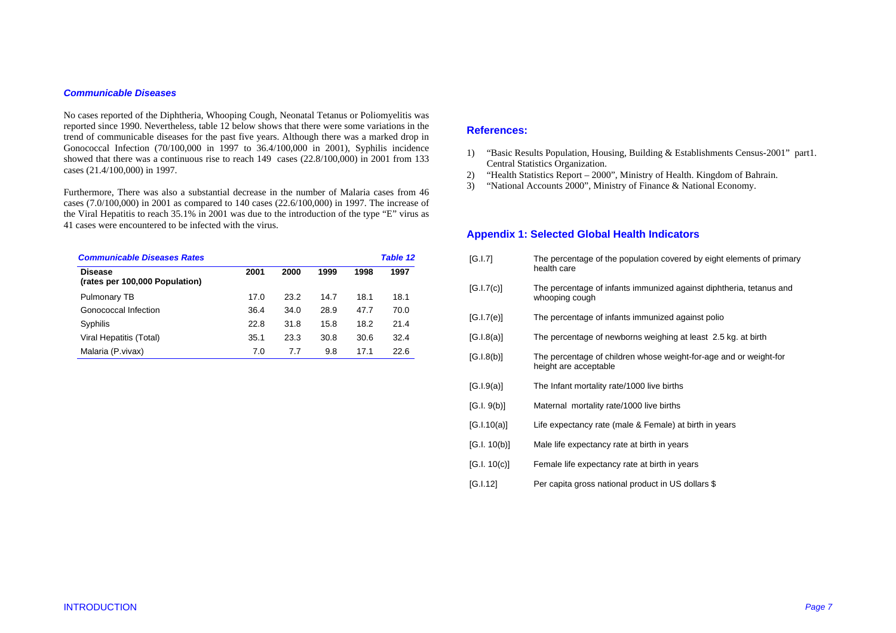#### *Communicable Diseases*

No cases reported of the Diphtheria, Whooping Cough, Neonatal Tetanus or Poliomyelitis was reported since 1990. Nevertheless, table 12 below shows that there were some variations in the trend of communicable diseases for the past five years. Although there was a marked drop in Gonococcal Infection (70/100,000 in 1997 to 36.4/100,000 in 2001), Syphilis incidence showed that there was a continuous rise to reach 149 cases (22.8/100,000) in 2001 from 133 cases (21.4/100,000) in 1997.

Furthermore, There was also a substantial decrease in the number of Malaria cases from 46 cases (7.0/100,000) in 2001 as compared to 140 cases (22.6/100,000) in 1997. The increase of the Viral Hepatitis to reach 35.1% in 2001 was due to the introduction of the type "E" virus as 41 cases were encountered to be infected with the virus.

| <b>Communicable Diseases Rates</b>               |      |      |      | <b>Table 12</b> |      |
|--------------------------------------------------|------|------|------|-----------------|------|
| <b>Disease</b><br>(rates per 100,000 Population) | 2001 | 2000 | 1999 | 1998            | 1997 |
| Pulmonary TB                                     | 17.0 | 23.2 | 14.7 | 18.1            | 18.1 |
| Gonococcal Infection                             | 36.4 | 34.0 | 28.9 | 47.7            | 70.0 |
| Syphilis                                         | 22.8 | 31.8 | 15.8 | 18.2            | 21.4 |
| Viral Hepatitis (Total)                          | 35.1 | 23.3 | 30.8 | 30.6            | 32.4 |
| Malaria (P.vivax)                                | 7.0  | 7.7  | 9.8  | 17.1            | 22.6 |

## **References:**

- 1) "Basic Results Population, Housing, Building & Establishments Census-2001" part1. Central Statistics Organization.
- 2) "Health Statistics Report 2000", Ministry of Health. Kingdom of Bahrain.
- 3) "National Accounts 2000", Ministry of Finance & National Economy.

# **Appendix 1: Selected Global Health Indicators**

| [G.I.7]      | The percentage of the population covered by eight elements of primary<br>health care       |
|--------------|--------------------------------------------------------------------------------------------|
| [G.I.7(c)]   | The percentage of infants immunized against diphtheria, tetanus and<br>whooping cough      |
| [G.I.7(e)]   | The percentage of infants immunized against polio                                          |
| [G.I.8(a)]   | The percentage of newborns weighing at least 2.5 kg. at birth                              |
| [G.I.8(b)]   | The percentage of children whose weight-for-age and or weight-for<br>height are acceptable |
| [G.I.9(a)]   | The Infant mortality rate/1000 live births                                                 |
| [G.I. 9(b)]  | Maternal mortality rate/1000 live births                                                   |
| [G.I.10(a)]  | Life expectancy rate (male & Female) at birth in years                                     |
| [G.I. 10(b)] | Male life expectancy rate at birth in years                                                |
| [G.I. 10(c)] | Female life expectancy rate at birth in years                                              |
| [G.1.12]     | Per capita gross national product in US dollars \$                                         |
|              |                                                                                            |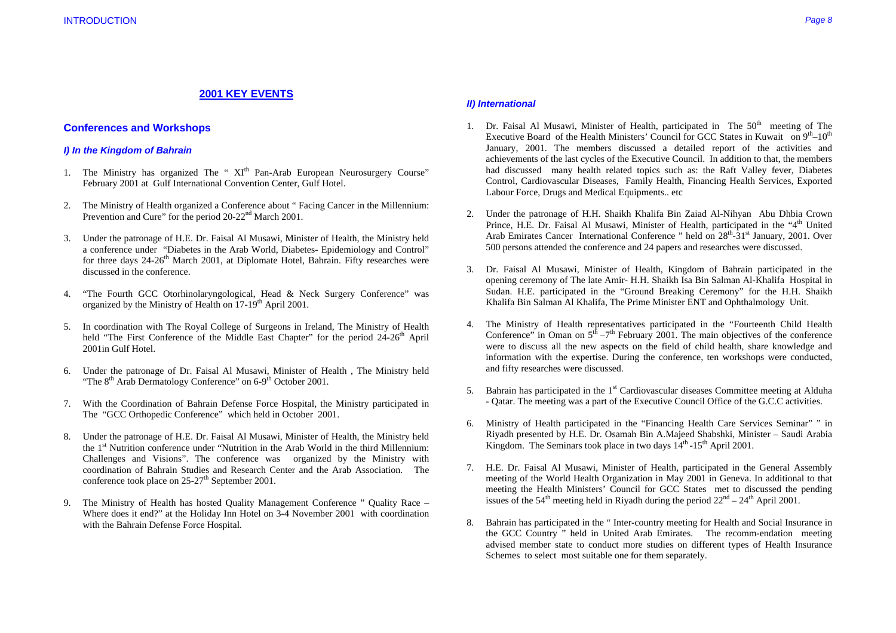# **2001 KEY EVENTS**

# **Conferences and Workshops**

## *I) In the Kingdom of Bahrain*

- 1. The Ministry has organized The "  $XI<sup>th</sup>$  Pan-Arab European Neurosurgery Course" February 2001 at Gulf International Convention Center, Gulf Hotel.
- 2. The Ministry of Health organized a Conference about " Facing Cancer in the Millennium: Prevention and Cure" for the period 20-22<sup>nd</sup> March 2001.
- 3. Under the patronage of H.E. Dr. Faisal Al Musawi, Minister of Health, the Ministry held a conference under "Diabetes in the Arab World, Diabetes- Epidemiology and Control" for three days  $24-26<sup>th</sup>$  March 2001, at Diplomate Hotel, Bahrain. Fifty researches were discussed in the conference.
- 4. "The Fourth GCC Otorhinolaryngological, Head & Neck Surgery Conference" was organized by the Ministry of Health on 17-19<sup>th</sup> April 2001.
- 5. In coordination with The Royal College of Surgeons in Ireland, The Ministry of Health held "The First Conference of the Middle East Chapter" for the period  $24-26<sup>th</sup>$  April 2001in Gulf Hotel.
- 6. Under the patronage of Dr. Faisal Al Musawi, Minister of Health , The Ministry held "The  $8<sup>th</sup>$  Arab Dermatology Conference" on 6-9<sup>th</sup> October 2001.
- 7. With the Coordination of Bahrain Defense Force Hospital, the Ministry participated in The "GCC Orthopedic Conference" which held in October 2001.
- 8. Under the patronage of H.E. Dr. Faisal Al Musawi, Minister of Health, the Ministry held the  $1<sup>st</sup>$  Nutrition conference under "Nutrition in the Arab World in the third Millennium: Challenges and Visions". The conference was organized by the Ministry with coordination of Bahrain Studies and Research Center and the Arab Association. The conference took place on  $25-27$ <sup>th</sup> September 2001.
- 9. The Ministry of Health has hosted Quality Management Conference " Quality Race Where does it end?" at the Holiday Inn Hotel on 3-4 November 2001 with coordination with the Bahrain Defense Force Hospital.

### *II) International*

- 1. Dr. Faisal Al Musawi, Minister of Health, participated in The  $50<sup>th</sup>$  meeting of The Executive Board of the Health Ministers' Council for GCC States in Kuwait on  $9<sup>th</sup>-10<sup>th</sup>$ January, 2001. The members discussed a detailed report of the activities and achievements of the last cycles of the Executive Council. In addition to that, the members had discussed many health related topics such as: the Raft Valley fever, Diabetes Control, Cardiovascular Diseases, Family Health, Financing Health Services, Exported Labour Force, Drugs and Medical Equipments.. etc
- 2. Under the patronage of H.H. Shaikh Khalifa Bin Zaiad Al-Nihyan Abu Dhbia Crown Prince, H.E. Dr. Faisal Al Musawi, Minister of Health, participated in the "4<sup>th</sup> United" Arab Emirates Cancer International Conference " held on  $28<sup>th</sup>$ - $31<sup>st</sup>$  January, 2001. Over 500 persons attended the conference and 24 papers and researches were discussed.
- 3. Dr. Faisal Al Musawi, Minister of Health, Kingdom of Bahrain participated in the opening ceremony of The late Amir- H.H. Shaikh Isa Bin Salman Al-Khalifa Hospital in Sudan. H.E. participated in the "Ground Breaking Ceremony" for the H.H. Shaikh Khalifa Bin Salman Al Khalifa, The Prime Minister ENT and Ophthalmology Unit.
- 4. The Ministry of Health representatives participated in the "Fourteenth Child Health Conference" in Oman on  $5<sup>th</sup> -7<sup>th</sup>$  February 2001. The main objectives of the conference were to discuss all the new aspects on the field of child health, share knowledge and information with the expertise. During the conference, ten workshops were conducted, and fifty researches were discussed.
- 5. Bahrain has participated in the  $1<sup>st</sup>$  Cardiovascular diseases Committee meeting at Alduha - Qatar. The meeting was a part of the Executive Council Office of the G.C.C activities.
- 6. Ministry of Health participated in the "Financing Health Care Services Seminar" " in Riyadh presented by H.E. Dr. Osamah Bin A.Majeed Shabshki, Minister – Saudi Arabia Kingdom. The Seminars took place in two days  $14<sup>th</sup>$ -15<sup>th</sup> April 2001.
- 7. H.E. Dr. Faisal Al Musawi, Minister of Health, participated in the General Assembly meeting of the World Health Organization in May 2001 in Geneva. In additional to that meeting the Health Ministers' Council for GCC States met to discussed the pending issues of the 54<sup>th</sup> meeting held in Riyadh during the period  $22<sup>nd</sup> - 24<sup>th</sup>$  April 2001.
- 8. Bahrain has participated in the " Inter-country meeting for Health and Social Insurance in the GCC Country " held in United Arab Emirates. The recomm-endation meeting advised member state to conduct more studies on different types of Health Insurance Schemes to select most suitable one for them separately.